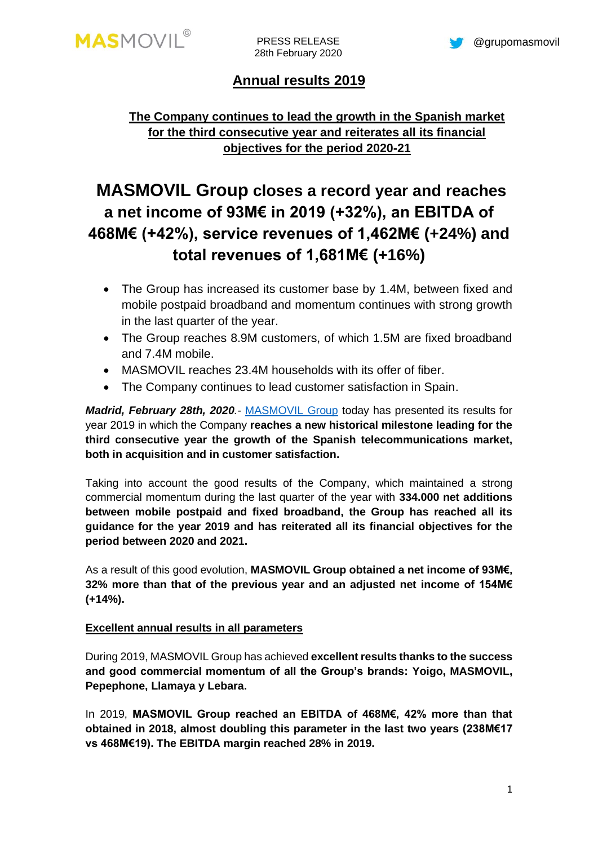PRESS RELEASE 28th February 2020

# **Annual results 2019**

## **The Company continues to lead the growth in the Spanish market for the third consecutive year and reiterates all its financial objectives for the period 2020-21**

# **MASMOVIL Group closes a record year and reaches a net income of 93M€ in 2019 (+32%), an EBITDA of 468M€ (+42%), service revenues of 1,462M€ (+24%) and total revenues of 1,681M€ (+16%)**

- The Group has increased its customer base by 1.4M, between fixed and mobile postpaid broadband and momentum continues with strong growth in the last quarter of the year.
- The Group reaches 8.9M customers, of which 1.5M are fixed broadband and 7.4M mobile.
- MASMOVIL reaches 23.4M households with its offer of fiber.
- The Company continues to lead customer satisfaction in Spain.

*Madrid, February 28th, 2020.-* [MASMOVIL](http://www.grupomasmovil.com/) Group today has presented its results for year 2019 in which the Company **reaches a new historical milestone leading for the third consecutive year the growth of the Spanish telecommunications market, both in acquisition and in customer satisfaction.**

Taking into account the good results of the Company, which maintained a strong commercial momentum during the last quarter of the year with **334.000 net additions between mobile postpaid and fixed broadband, the Group has reached all its guidance for the year 2019 and has reiterated all its financial objectives for the period between 2020 and 2021.**

As a result of this good evolution, **MASMOVIL Group obtained a net income of 93M€, 32% more than that of the previous year and an adjusted net income of 154M€ (+14%).**

## **Excellent annual results in all parameters**

During 2019, MASMOVIL Group has achieved **excellent results thanks to the success and good commercial momentum of all the Group's brands: Yoigo, MASMOVIL, Pepephone, Llamaya y Lebara.**

In 2019, **MASMOVIL Group reached an EBITDA of 468M€, 42% more than that obtained in 2018, almost doubling this parameter in the last two years (238M€17 vs 468M€19). The EBITDA margin reached 28% in 2019.**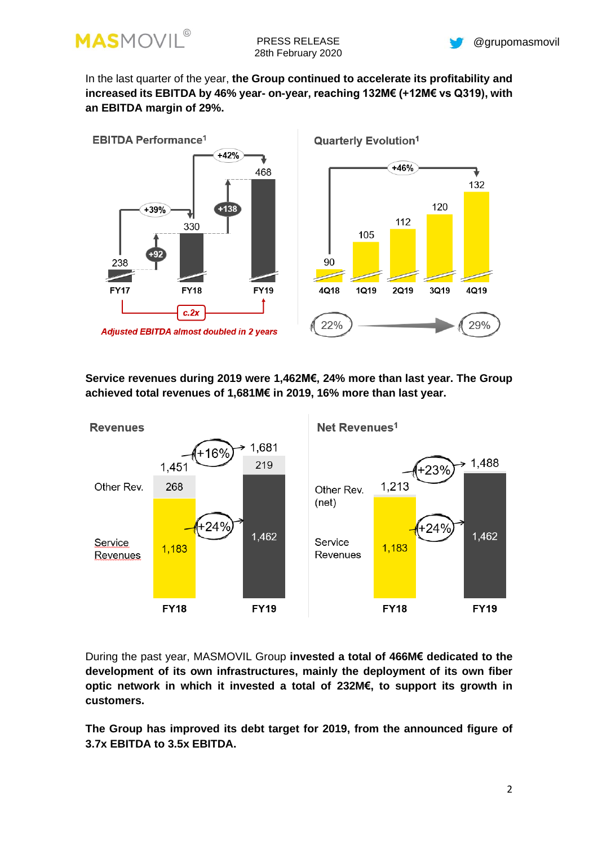

In the last quarter of the year, **the Group continued to accelerate its profitability and increased its EBITDA by 46% year- on-year, reaching 132M€ (+12M€ vs Q319), with an EBITDA margin of 29%.** 



**Service revenues during 2019 were 1,462M€, 24% more than last year. The Group achieved total revenues of 1,681M€ in 2019, 16% more than last year.** 



During the past year, MASMOVIL Group **invested a total of 466M€ dedicated to the development of its own infrastructures, mainly the deployment of its own fiber optic network in which it invested a total of 232M€, to support its growth in customers.**

**The Group has improved its debt target for 2019, from the announced figure of 3.7x EBITDA to 3.5x EBITDA.**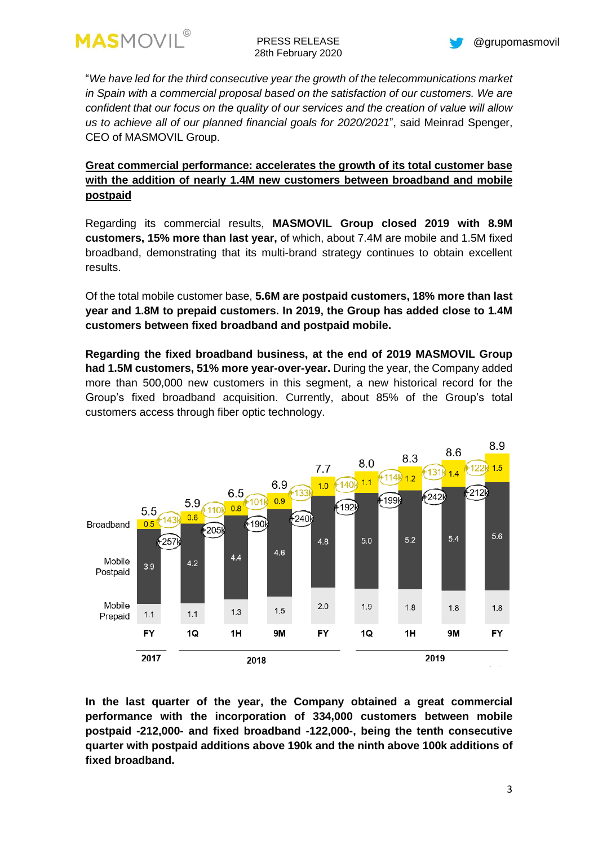

PRESS RELEASE 28th February 2020



"*We have led for the third consecutive year the growth of the telecommunications market in Spain with a commercial proposal based on the satisfaction of our customers. We are confident that our focus on the quality of our services and the creation of value will allow us to achieve all of our planned financial goals for 2020/2021*", said Meinrad Spenger, CEO of MASMOVIL Group.

## **Great commercial performance: accelerates the growth of its total customer base with the addition of nearly 1.4M new customers between broadband and mobile postpaid**

Regarding its commercial results, **MASMOVIL Group closed 2019 with 8.9M customers, 15% more than last year,** of which, about 7.4M are mobile and 1.5M fixed broadband, demonstrating that its multi-brand strategy continues to obtain excellent results.

Of the total mobile customer base, **5.6M are postpaid customers, 18% more than last year and 1.8M to prepaid customers. In 2019, the Group has added close to 1.4M customers between fixed broadband and postpaid mobile.**

**Regarding the fixed broadband business, at the end of 2019 MASMOVIL Group had 1.5M customers, 51% more year-over-year.** During the year, the Company added more than 500,000 new customers in this segment, a new historical record for the Group's fixed broadband acquisition. Currently, about 85% of the Group's total customers access through fiber optic technology.



**In the last quarter of the year, the Company obtained a great commercial performance with the incorporation of 334,000 customers between mobile postpaid -212,000- and fixed broadband -122,000-, being the tenth consecutive quarter with postpaid additions above 190k and the ninth above 100k additions of fixed broadband.**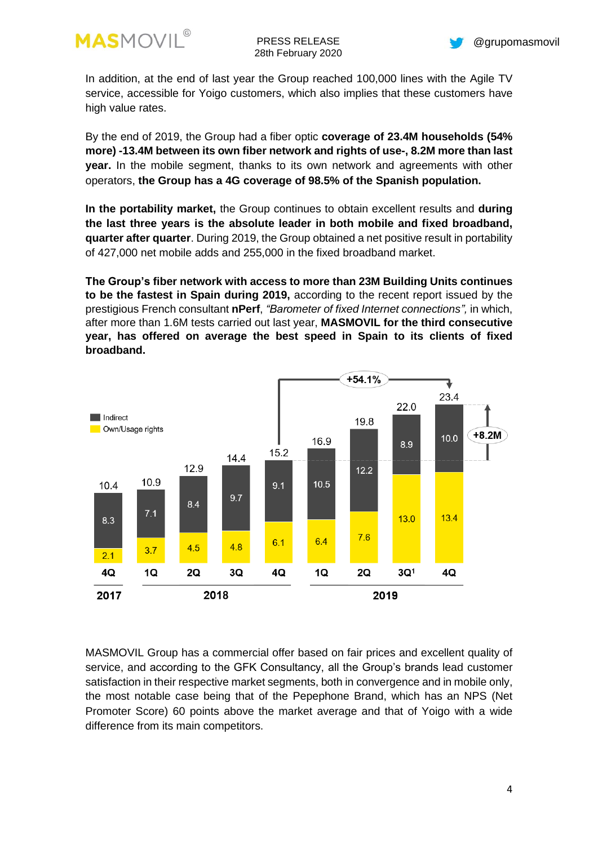



In addition, at the end of last year the Group reached 100,000 lines with the Agile TV service, accessible for Yoigo customers, which also implies that these customers have high value rates.

By the end of 2019, the Group had a fiber optic **coverage of 23.4M households (54% more) -13.4M between its own fiber network and rights of use-, 8.2M more than last year.** In the mobile segment, thanks to its own network and agreements with other operators, **the Group has a 4G coverage of 98.5% of the Spanish population.**

**In the portability market,** the Group continues to obtain excellent results and **during the last three years is the absolute leader in both mobile and fixed broadband, quarter after quarter**. During 2019, the Group obtained a net positive result in portability of 427,000 net mobile adds and 255,000 in the fixed broadband market.

**The Group's fiber network with access to more than 23M Building Units continues to be the fastest in Spain during 2019,** according to the recent report issued by the prestigious French consultant **nPerf**, *"Barometer of fixed Internet connections",* in which, after more than 1.6M tests carried out last year, **MASMOVIL for the third consecutive year, has offered on average the best speed in Spain to its clients of fixed broadband.**



MASMOVIL Group has a commercial offer based on fair prices and excellent quality of service, and according to the GFK Consultancy, all the Group's brands lead customer satisfaction in their respective market segments, both in convergence and in mobile only, the most notable case being that of the Pepephone Brand, which has an NPS (Net Promoter Score) 60 points above the market average and that of Yoigo with a wide difference from its main competitors.